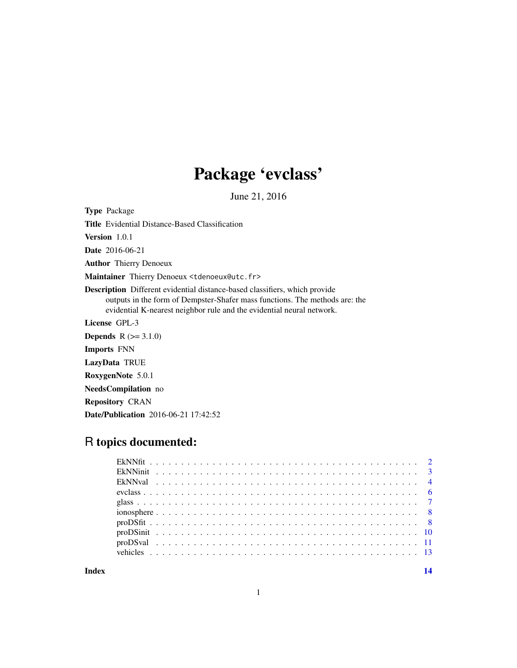# Package 'evclass'

June 21, 2016

Type Package Title Evidential Distance-Based Classification Version 1.0.1 Date 2016-06-21 Author Thierry Denoeux Maintainer Thierry Denoeux <tdenoeux@utc.fr> Description Different evidential distance-based classifiers, which provide outputs in the form of Dempster-Shafer mass functions. The methods are: the evidential K-nearest neighbor rule and the evidential neural network. License GPL-3 **Depends**  $R (= 3.1.0)$ Imports FNN LazyData TRUE RoxygenNote 5.0.1 NeedsCompilation no Repository CRAN Date/Publication 2016-06-21 17:42:52

# R topics documented:

**Index** 2008 **[14](#page-13-0)**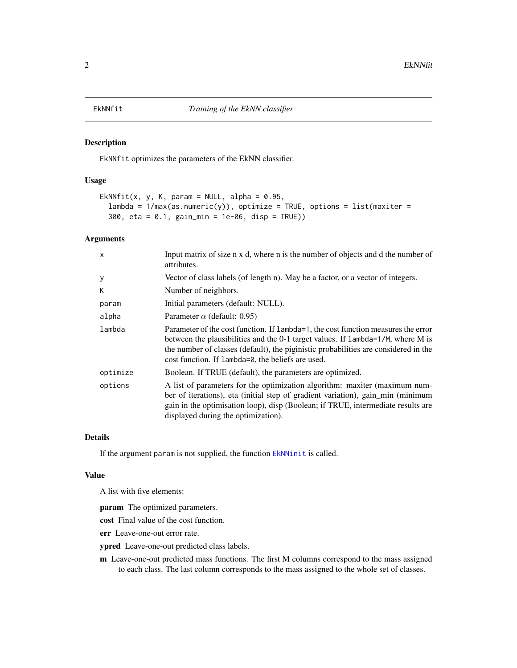<span id="page-1-1"></span><span id="page-1-0"></span>

# Description

EkNNfit optimizes the parameters of the EkNN classifier.

# Usage

```
EkNNfit(x, y, K, param = NULL, alpha = 0.95,
  lambda = 1/max(as.numeric(y)), optimize = TRUE, options = list(maxiter =300, eta = 0.1, gain_min = 1e-06, disp = TRUE))
```
# Arguments

| $\mathsf{x}$ | Input matrix of size n x d, where n is the number of objects and d the number of<br>attributes.                                                                                                                                                                                                                  |
|--------------|------------------------------------------------------------------------------------------------------------------------------------------------------------------------------------------------------------------------------------------------------------------------------------------------------------------|
| У            | Vector of class labels (of length n). May be a factor, or a vector of integers.                                                                                                                                                                                                                                  |
| К            | Number of neighbors.                                                                                                                                                                                                                                                                                             |
| param        | Initial parameters (default: NULL).                                                                                                                                                                                                                                                                              |
| alpha        | Parameter $\alpha$ (default: 0.95)                                                                                                                                                                                                                                                                               |
| lambda       | Parameter of the cost function. If lambda=1, the cost function measures the error<br>between the plausibilities and the 0-1 target values. If lambda=1/M, where M is<br>the number of classes (default), the piginistic probabilities are considered in the<br>cost function. If lambda=0, the beliefs are used. |
| optimize     | Boolean. If TRUE (default), the parameters are optimized.                                                                                                                                                                                                                                                        |
| options      | A list of parameters for the optimization algorithm: maxiter (maximum num-<br>ber of iterations), eta (initial step of gradient variation), gain min (minimum<br>gain in the optimisation loop), disp (Boolean; if TRUE, intermediate results are<br>displayed during the optimization).                         |

# Details

If the argument param is not supplied, the function [EkNNinit](#page-2-1) is called.

#### Value

A list with five elements:

param The optimized parameters.

cost Final value of the cost function.

err Leave-one-out error rate.

ypred Leave-one-out predicted class labels.

m Leave-one-out predicted mass functions. The first M columns correspond to the mass assigned to each class. The last column corresponds to the mass assigned to the whole set of classes.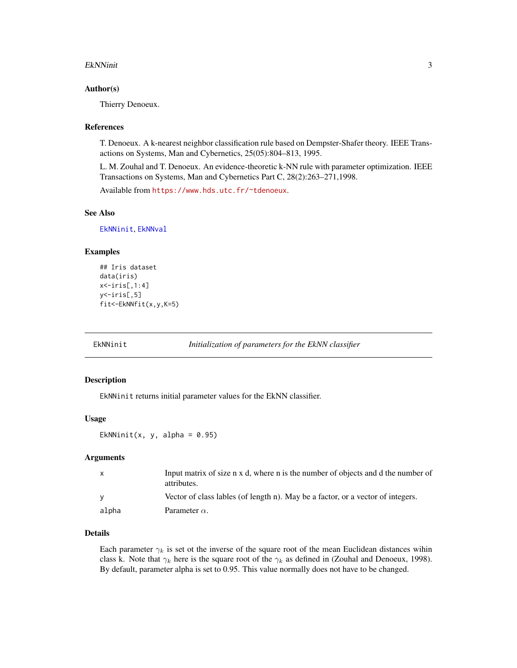#### <span id="page-2-0"></span>EkNNinit 3

#### Author(s)

Thierry Denoeux.

#### References

T. Denoeux. A k-nearest neighbor classification rule based on Dempster-Shafer theory. IEEE Transactions on Systems, Man and Cybernetics, 25(05):804–813, 1995.

L. M. Zouhal and T. Denoeux. An evidence-theoretic k-NN rule with parameter optimization. IEEE Transactions on Systems, Man and Cybernetics Part C, 28(2):263–271,1998.

Available from <https://www.hds.utc.fr/~tdenoeux>.

## See Also

[EkNNinit](#page-2-1), [EkNNval](#page-3-1)

#### Examples

```
## Iris dataset
data(iris)
x<-iris[,1:4]
y<-iris[,5]
fit<-EkNNfit(x,y,K=5)
```
<span id="page-2-1"></span>

EkNNinit *Initialization of parameters for the EkNN classifier*

# Description

EkNNinit returns initial parameter values for the EkNN classifier.

#### Usage

EkNNinit(x, y, alpha =  $0.95$ )

#### **Arguments**

| X.    | Input matrix of size n x d, where n is the number of objects and d the number of<br>attributes. |
|-------|-------------------------------------------------------------------------------------------------|
|       | Vector of class lables (of length n). May be a factor, or a vector of integers.                 |
| alpha | Parameter $\alpha$ .                                                                            |

# Details

Each parameter  $\gamma_k$  is set ot the inverse of the square root of the mean Euclidean distances wihin class k. Note that  $\gamma_k$  here is the square root of the  $\gamma_k$  as defined in (Zouhal and Denoeux, 1998). By default, parameter alpha is set to 0.95. This value normally does not have to be changed.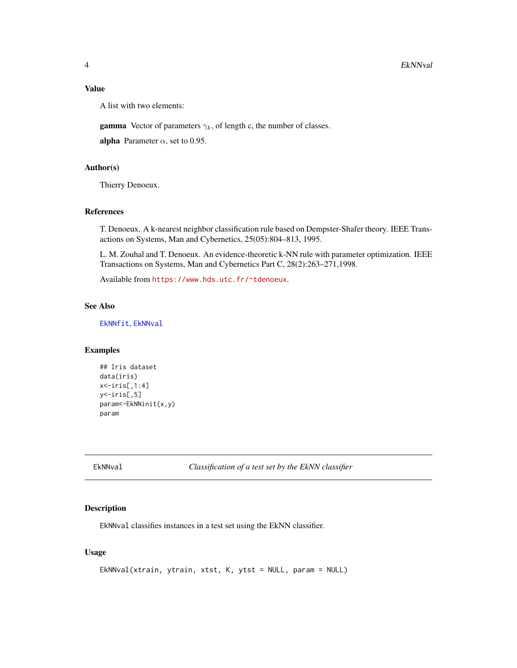# <span id="page-3-0"></span>Value

A list with two elements:

**gamma** Vector of parameters  $\gamma_k$ , of length c, the number of classes.

alpha Parameter  $\alpha$ , set to 0.95.

# Author(s)

Thierry Denoeux.

#### References

T. Denoeux. A k-nearest neighbor classification rule based on Dempster-Shafer theory. IEEE Transactions on Systems, Man and Cybernetics, 25(05):804–813, 1995.

L. M. Zouhal and T. Denoeux. An evidence-theoretic k-NN rule with parameter optimization. IEEE Transactions on Systems, Man and Cybernetics Part C, 28(2):263–271,1998.

Available from <https://www.hds.utc.fr/~tdenoeux>.

# See Also

[EkNNfit](#page-1-1), [EkNNval](#page-3-1)

# Examples

```
## Iris dataset
data(iris)
x<-iris[,1:4]
y<-iris[,5]
param<-EkNNinit(x,y)
param
```
<span id="page-3-1"></span>EkNNval *Classification of a test set by the EkNN classifier*

#### Description

EkNNval classifies instances in a test set using the EkNN classifier.

# Usage

```
EkNNval(xtrain, ytrain, xtst, K, ytst = NULL, param = NULL)
```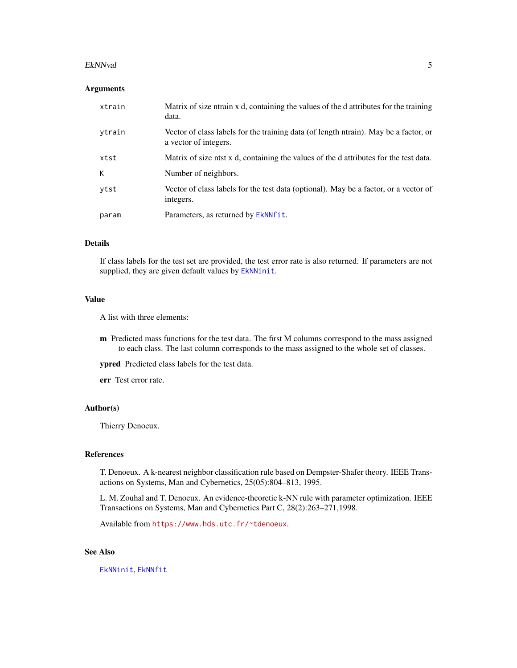#### <span id="page-4-0"></span>EkNNval 5

#### **Arguments**

| xtrain | Matrix of size ntrain x d, containing the values of the d attributes for the training<br>data.                |
|--------|---------------------------------------------------------------------------------------------------------------|
| ytrain | Vector of class labels for the training data (of length ntrain). May be a factor, or<br>a vector of integers. |
| xtst   | Matrix of size ntst x d, containing the values of the d attributes for the test data.                         |
| К      | Number of neighbors.                                                                                          |
| ytst   | Vector of class labels for the test data (optional). May be a factor, or a vector of<br>integers.             |
| param  | Parameters, as returned by EkNNfit.                                                                           |

# Details

If class labels for the test set are provided, the test error rate is also returned. If parameters are not supplied, they are given default values by [EkNNinit](#page-2-1).

# Value

A list with three elements:

m Predicted mass functions for the test data. The first M columns correspond to the mass assigned to each class. The last column corresponds to the mass assigned to the whole set of classes.

ypred Predicted class labels for the test data.

err Test error rate.

# Author(s)

Thierry Denoeux.

# References

T. Denoeux. A k-nearest neighbor classification rule based on Dempster-Shafer theory. IEEE Transactions on Systems, Man and Cybernetics, 25(05):804–813, 1995.

L. M. Zouhal and T. Denoeux. An evidence-theoretic k-NN rule with parameter optimization. IEEE Transactions on Systems, Man and Cybernetics Part C, 28(2):263–271,1998.

Available from <https://www.hds.utc.fr/~tdenoeux>.

# See Also

[EkNNinit](#page-2-1), [EkNNfit](#page-1-1)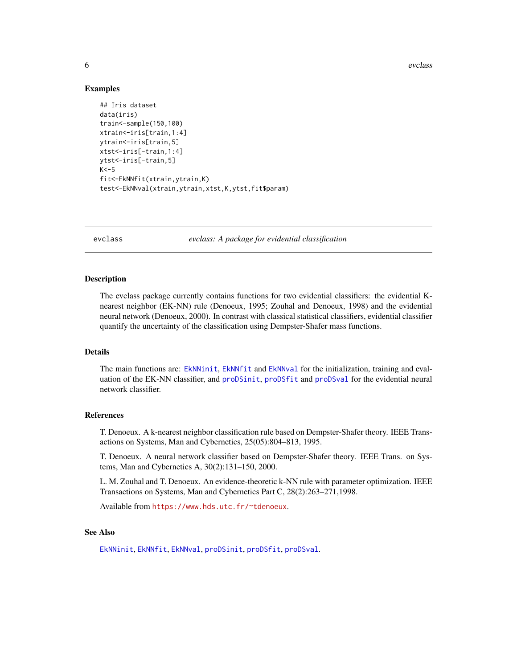<span id="page-5-0"></span>**6** evclass and the contract of the contract of the contract of the contract of the contract of the contract of the contract of the contract of the contract of the contract of the contract of the contract of the contract o

# Examples

```
## Iris dataset
data(iris)
train<-sample(150,100)
xtrain<-iris[train,1:4]
ytrain<-iris[train,5]
xtst<-iris[-train,1:4]
ytst<-iris[-train,5]
K < -5fit<-EkNNfit(xtrain,ytrain,K)
test<-EkNNval(xtrain,ytrain,xtst,K,ytst,fit$param)
```
evclass *evclass: A package for evidential classification*

# **Description**

The evclass package currently contains functions for two evidential classifiers: the evidential Knearest neighbor (EK-NN) rule (Denoeux, 1995; Zouhal and Denoeux, 1998) and the evidential neural network (Denoeux, 2000). In contrast with classical statistical classifiers, evidential classifier quantify the uncertainty of the classification using Dempster-Shafer mass functions.

# Details

The main functions are: [EkNNinit](#page-2-1), [EkNNfit](#page-1-1) and [EkNNval](#page-3-1) for the initialization, training and evaluation of the EK-NN classifier, and [proDSinit](#page-9-1), [proDSfit](#page-7-1) and [proDSval](#page-10-1) for the evidential neural network classifier.

# References

T. Denoeux. A k-nearest neighbor classification rule based on Dempster-Shafer theory. IEEE Transactions on Systems, Man and Cybernetics, 25(05):804–813, 1995.

T. Denoeux. A neural network classifier based on Dempster-Shafer theory. IEEE Trans. on Systems, Man and Cybernetics A, 30(2):131–150, 2000.

L. M. Zouhal and T. Denoeux. An evidence-theoretic k-NN rule with parameter optimization. IEEE Transactions on Systems, Man and Cybernetics Part C, 28(2):263–271,1998.

Available from <https://www.hds.utc.fr/~tdenoeux>.

#### See Also

[EkNNinit](#page-2-1), [EkNNfit](#page-1-1), [EkNNval](#page-3-1), [proDSinit](#page-9-1), [proDSfit](#page-7-1), [proDSval](#page-10-1).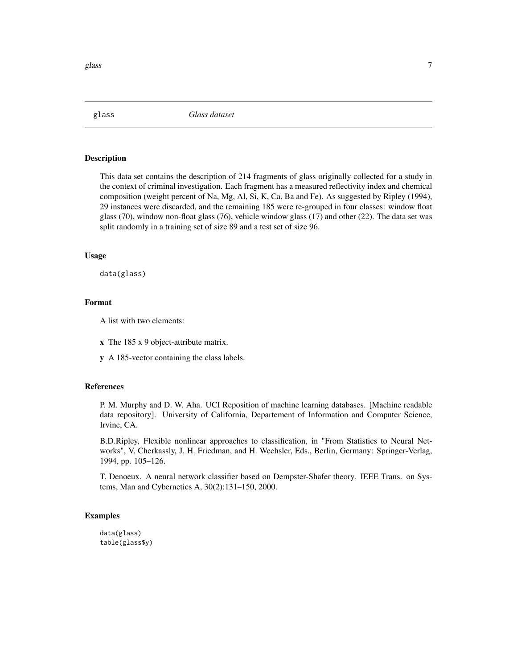<span id="page-6-0"></span>

glass *Glass dataset*

# Description

This data set contains the description of 214 fragments of glass originally collected for a study in the context of criminal investigation. Each fragment has a measured reflectivity index and chemical composition (weight percent of Na, Mg, Al, Si, K, Ca, Ba and Fe). As suggested by Ripley (1994), 29 instances were discarded, and the remaining 185 were re-grouped in four classes: window float glass (70), window non-float glass (76), vehicle window glass (17) and other (22). The data set was split randomly in a training set of size 89 and a test set of size 96.

#### Usage

data(glass)

#### Format

A list with two elements:

- x The 185 x 9 object-attribute matrix.
- y A 185-vector containing the class labels.

#### References

P. M. Murphy and D. W. Aha. UCI Reposition of machine learning databases. [Machine readable data repository]. University of California, Departement of Information and Computer Science, Irvine, CA.

B.D.Ripley, Flexible nonlinear approaches to classification, in "From Statistics to Neural Networks", V. Cherkassly, J. H. Friedman, and H. Wechsler, Eds., Berlin, Germany: Springer-Verlag, 1994, pp. 105–126.

T. Denoeux. A neural network classifier based on Dempster-Shafer theory. IEEE Trans. on Systems, Man and Cybernetics A, 30(2):131–150, 2000.

# Examples

data(glass) table(glass\$y)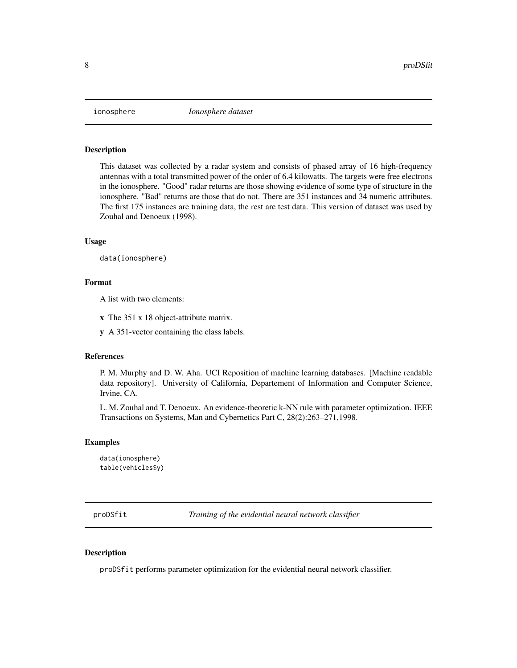<span id="page-7-0"></span>

# Description

This dataset was collected by a radar system and consists of phased array of 16 high-frequency antennas with a total transmitted power of the order of 6.4 kilowatts. The targets were free electrons in the ionosphere. "Good" radar returns are those showing evidence of some type of structure in the ionosphere. "Bad" returns are those that do not. There are 351 instances and 34 numeric attributes. The first 175 instances are training data, the rest are test data. This version of dataset was used by Zouhal and Denoeux (1998).

#### Usage

data(ionosphere)

# Format

A list with two elements:

- x The 351 x 18 object-attribute matrix.
- y A 351-vector containing the class labels.

# References

P. M. Murphy and D. W. Aha. UCI Reposition of machine learning databases. [Machine readable data repository]. University of California, Departement of Information and Computer Science, Irvine, CA.

L. M. Zouhal and T. Denoeux. An evidence-theoretic k-NN rule with parameter optimization. IEEE Transactions on Systems, Man and Cybernetics Part C, 28(2):263–271,1998.

#### Examples

```
data(ionosphere)
table(vehicles$y)
```
<span id="page-7-1"></span>proDSfit *Training of the evidential neural network classifier*

# Description

proDSfit performs parameter optimization for the evidential neural network classifier.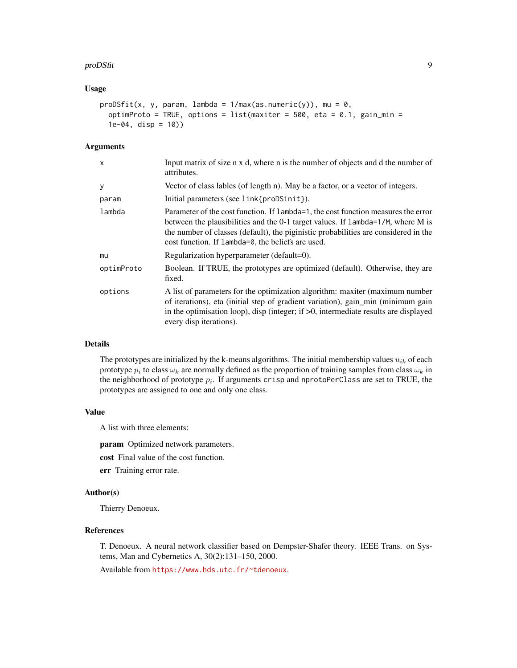#### proDSfit 99 and 200 and 200 and 200 and 200 and 200 and 200 and 200 and 200 and 200 and 200 and 200 and 200 and 200 and 200 and 200 and 200 and 200 and 200 and 200 and 200 and 200 and 200 and 200 and 200 and 200 and 200 an

# Usage

```
proDStit(x, y, param, lambda = 1/max(as.numeric(y)), mu = 0,optimProto = TRUE, options = list(maxiter = 500, eta = 0.1, gain_min =
  1e-04, disp = 10))
```
#### Arguments

| X          | Input matrix of size n x d, where n is the number of objects and d the number of<br>attributes.                                                                                                                                                                                                                  |
|------------|------------------------------------------------------------------------------------------------------------------------------------------------------------------------------------------------------------------------------------------------------------------------------------------------------------------|
| y          | Vector of class lables (of length n). May be a factor, or a vector of integers.                                                                                                                                                                                                                                  |
| param      | Initial parameters (see link{proDSinit}).                                                                                                                                                                                                                                                                        |
| lambda     | Parameter of the cost function. If lambda=1, the cost function measures the error<br>between the plausibilities and the 0-1 target values. If lambda=1/M, where M is<br>the number of classes (default), the piginistic probabilities are considered in the<br>cost function. If lambda=0, the beliefs are used. |
| mu         | Regularization hyperparameter (default=0).                                                                                                                                                                                                                                                                       |
| optimProto | Boolean. If TRUE, the prototypes are optimized (default). Otherwise, they are<br>fixed.                                                                                                                                                                                                                          |
| options    | A list of parameters for the optimization algorithm: maxiter (maximum number<br>of iterations), eta (initial step of gradient variation), gain min (minimum gain<br>in the optimisation loop), disp (integer; if $>0$ , intermediate results are displayed<br>every disp iterations).                            |

# Details

The prototypes are initialized by the k-means algorithms. The initial membership values  $u_{ik}$  of each prototype  $p_i$  to class  $\omega_k$  are normally defined as the proportion of training samples from class  $\omega_k$  in the neighborhood of prototype  $p_i$ . If arguments crisp and nprotoPerClass are set to TRUE, the prototypes are assigned to one and only one class.

# Value

A list with three elements:

param Optimized network parameters.

cost Final value of the cost function.

err Training error rate.

# Author(s)

Thierry Denoeux.

# References

T. Denoeux. A neural network classifier based on Dempster-Shafer theory. IEEE Trans. on Systems, Man and Cybernetics A, 30(2):131–150, 2000.

Available from <https://www.hds.utc.fr/~tdenoeux>.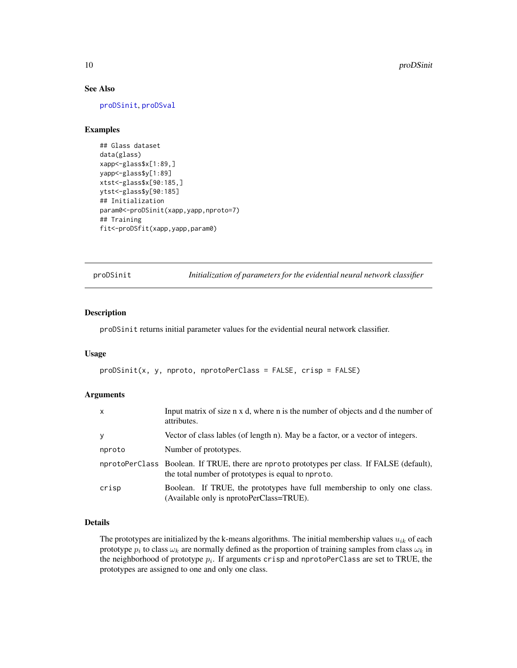# See Also

[proDSinit](#page-9-1), [proDSval](#page-10-1)

# Examples

```
## Glass dataset
data(glass)
xapp<-glass$x[1:89,]
yapp<-glass$y[1:89]
xtst<-glass$x[90:185,]
ytst<-glass$y[90:185]
## Initialization
param0<-proDSinit(xapp,yapp,nproto=7)
## Training
fit<-proDSfit(xapp,yapp,param0)
```
<span id="page-9-1"></span>proDSinit *Initialization of parameters for the evidential neural network classifier*

# Description

proDSinit returns initial parameter values for the evidential neural network classifier.

#### Usage

```
proDSinit(x, y, nproto, nprotoPerClass = FALSE, crisp = FALSE)
```
# Arguments

| $\mathsf{x}$ | Input matrix of size n x d, where n is the number of objects and d the number of<br>attributes.                                                   |
|--------------|---------------------------------------------------------------------------------------------------------------------------------------------------|
| y            | Vector of class lables (of length n). May be a factor, or a vector of integers.                                                                   |
| nproto       | Number of prototypes.                                                                                                                             |
|              | nprotoPerClass Boolean. If TRUE, there are nproto prototypes per class. If FALSE (default),<br>the total number of prototypes is equal to nproto. |
| crisp        | Boolean. If TRUE, the prototypes have full membership to only one class.<br>(Available only is nprotoPerClass=TRUE).                              |

# Details

The prototypes are initialized by the k-means algorithms. The initial membership values  $u_{ik}$  of each prototype  $p_i$  to class  $\omega_k$  are normally defined as the proportion of training samples from class  $\omega_k$  in the neighborhood of prototype  $p_i$ . If arguments crisp and nprotoPerClass are set to TRUE, the prototypes are assigned to one and only one class.

<span id="page-9-0"></span>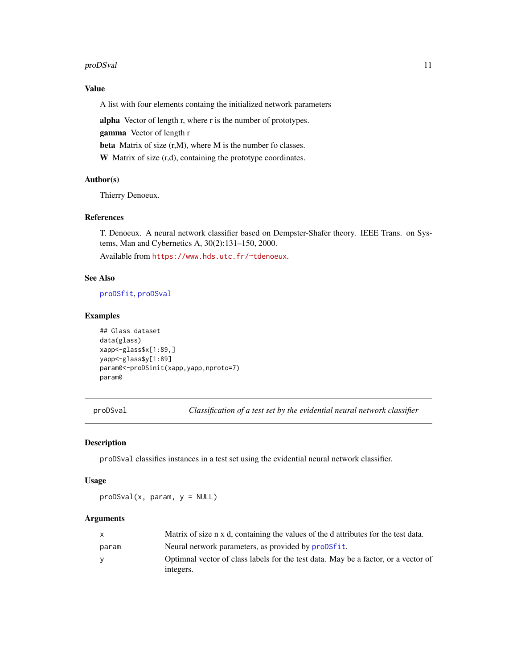#### <span id="page-10-0"></span>proDSval 11

# Value

A list with four elements containg the initialized network parameters

alpha Vector of length r, where r is the number of prototypes.

gamma Vector of length r

beta Matrix of size (r,M), where M is the number fo classes.

W Matrix of size (r,d), containing the prototype coordinates.

# Author(s)

Thierry Denoeux.

# References

T. Denoeux. A neural network classifier based on Dempster-Shafer theory. IEEE Trans. on Systems, Man and Cybernetics A, 30(2):131–150, 2000.

Available from <https://www.hds.utc.fr/~tdenoeux>.

# See Also

[proDSfit](#page-7-1), [proDSval](#page-10-1)

#### Examples

```
## Glass dataset
data(glass)
xapp<-glass$x[1:89,]
yapp<-glass$y[1:89]
param0<-proDSinit(xapp,yapp,nproto=7)
param0
```
<span id="page-10-1"></span>proDSval *Classification of a test set by the evidential neural network classifier*

#### Description

proDSval classifies instances in a test set using the evidential neural network classifier.

#### Usage

 $proDSval(x, param, y = NULL)$ 

# Arguments

|       | Matrix of size n x d, containing the values of the d attributes for the test data.              |
|-------|-------------------------------------------------------------------------------------------------|
| param | Neural network parameters, as provided by proDSfit.                                             |
| v     | Optimnal vector of class labels for the test data. May be a factor, or a vector of<br>integers. |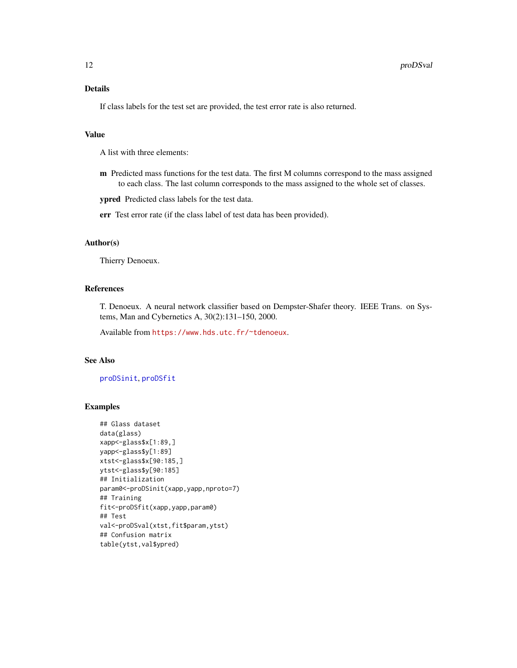# <span id="page-11-0"></span>Details

If class labels for the test set are provided, the test error rate is also returned.

# Value

A list with three elements:

m Predicted mass functions for the test data. The first M columns correspond to the mass assigned to each class. The last column corresponds to the mass assigned to the whole set of classes.

ypred Predicted class labels for the test data.

err Test error rate (if the class label of test data has been provided).

#### Author(s)

Thierry Denoeux.

# References

T. Denoeux. A neural network classifier based on Dempster-Shafer theory. IEEE Trans. on Systems, Man and Cybernetics A, 30(2):131–150, 2000.

Available from <https://www.hds.utc.fr/~tdenoeux>.

# See Also

[proDSinit](#page-9-1), [proDSfit](#page-7-1)

# Examples

```
## Glass dataset
data(glass)
xapp<-glass$x[1:89,]
yapp<-glass$y[1:89]
xtst<-glass$x[90:185,]
ytst<-glass$y[90:185]
## Initialization
param0<-proDSinit(xapp,yapp,nproto=7)
## Training
fit<-proDSfit(xapp,yapp,param0)
## Test
val<-proDSval(xtst,fit$param,ytst)
## Confusion matrix
table(ytst,val$ypred)
```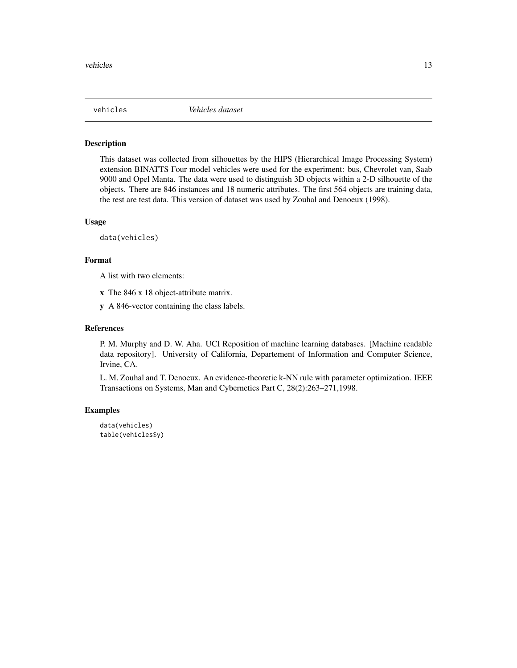<span id="page-12-0"></span>

# Description

This dataset was collected from silhouettes by the HIPS (Hierarchical Image Processing System) extension BINATTS Four model vehicles were used for the experiment: bus, Chevrolet van, Saab 9000 and Opel Manta. The data were used to distinguish 3D objects within a 2-D silhouette of the objects. There are 846 instances and 18 numeric attributes. The first 564 objects are training data, the rest are test data. This version of dataset was used by Zouhal and Denoeux (1998).

# Usage

data(vehicles)

### Format

A list with two elements:

x The 846 x 18 object-attribute matrix.

y A 846-vector containing the class labels.

#### References

P. M. Murphy and D. W. Aha. UCI Reposition of machine learning databases. [Machine readable data repository]. University of California, Departement of Information and Computer Science, Irvine, CA.

L. M. Zouhal and T. Denoeux. An evidence-theoretic k-NN rule with parameter optimization. IEEE Transactions on Systems, Man and Cybernetics Part C, 28(2):263–271,1998.

#### Examples

data(vehicles) table(vehicles\$y)